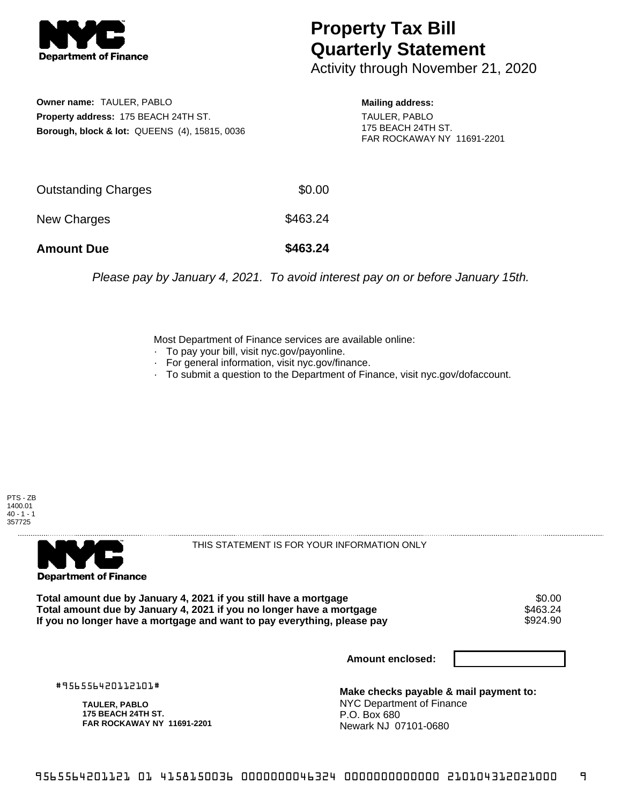

## **Property Tax Bill Quarterly Statement**

Activity through November 21, 2020

**Owner name:** TAULER, PABLO **Property address:** 175 BEACH 24TH ST. **Borough, block & lot:** QUEENS (4), 15815, 0036 **Mailing address:**

TAULER, PABLO 175 BEACH 24TH ST. FAR ROCKAWAY NY 11691-2201

| <b>Amount Due</b>   | \$463.24 |
|---------------------|----------|
| New Charges         | \$463.24 |
| Outstanding Charges | \$0.00   |

Please pay by January 4, 2021. To avoid interest pay on or before January 15th.

Most Department of Finance services are available online:

- · To pay your bill, visit nyc.gov/payonline.
- For general information, visit nyc.gov/finance.
- · To submit a question to the Department of Finance, visit nyc.gov/dofaccount.





THIS STATEMENT IS FOR YOUR INFORMATION ONLY

Total amount due by January 4, 2021 if you still have a mortgage \$0.00<br>Total amount due by January 4, 2021 if you no longer have a mortgage \$463.24 Total amount due by January 4, 2021 if you no longer have a mortgage **\$463.24**<br>If you no longer have a mortgage and want to pay everything, please pay If you no longer have a mortgage and want to pay everything, please pay

**Amount enclosed:**

#956556420112101#

**TAULER, PABLO 175 BEACH 24TH ST. FAR ROCKAWAY NY 11691-2201**

**Make checks payable & mail payment to:** NYC Department of Finance P.O. Box 680 Newark NJ 07101-0680